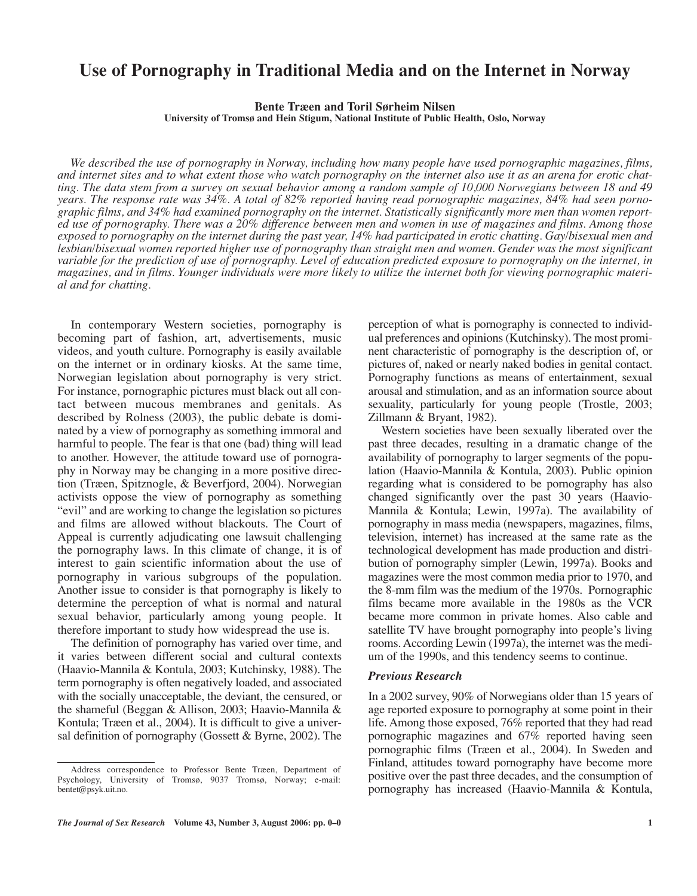# **Use of Pornography in Traditional Media and on the Internet in Norway**

**Bente Træen and Toril Sørheim Nilsen University of Tromsø and Hein Stigum, National Institute of Public Health, Oslo, Norway**

*We described the use of pornography in Norway, including how many people have used pornographic magazines, films, and internet sites and to what extent those who watch pornography on the internet also use it as an arena for erotic chatting. The data stem from a survey on sexual behavior among a random sample of 10,000 Norwegians between 18 and 49 years. The response rate was 34%. A total of 82% reported having read pornographic magazines, 84% had seen pornographic films, and 34% had examined pornography on the internet. Statistically significantly more men than women reported use of pornography. There was a 20% difference between men and women in use of magazines and films. Among those exposed to pornography on the internet during the past year, 14% had participated in erotic chatting. Gay/bisexual men and lesbian/bisexual women reported higher use of pornography than straight men and women. Gender was the most significant variable for the prediction of use of pornography. Level of education predicted exposure to pornography on the internet, in magazines, and in films. Younger individuals were more likely to utilize the internet both for viewing pornographic material and for chatting.* 

In contemporary Western societies, pornography is becoming part of fashion, art, advertisements, music videos, and youth culture. Pornography is easily available on the internet or in ordinary kiosks. At the same time, Norwegian legislation about pornography is very strict. For instance, pornographic pictures must black out all contact between mucous membranes and genitals. As described by Rolness (2003), the public debate is dominated by a view of pornography as something immoral and harmful to people. The fear is that one (bad) thing will lead to another. However, the attitude toward use of pornography in Norway may be changing in a more positive direction (Træen, Spitznogle, & Beverfjord, 2004). Norwegian activists oppose the view of pornography as something "evil" and are working to change the legislation so pictures and films are allowed without blackouts. The Court of Appeal is currently adjudicating one lawsuit challenging the pornography laws. In this climate of change, it is of interest to gain scientific information about the use of pornography in various subgroups of the population. Another issue to consider is that pornography is likely to determine the perception of what is normal and natural sexual behavior, particularly among young people. It therefore important to study how widespread the use is.

The definition of pornography has varied over time, and it varies between different social and cultural contexts (Haavio-Mannila & Kontula, 2003; Kutchinsky, 1988). The term pornography is often negatively loaded, and associated with the socially unacceptable, the deviant, the censured, or the shameful (Beggan & Allison, 2003; Haavio-Mannila & Kontula; Træen et al., 2004). It is difficult to give a universal definition of pornography (Gossett & Byrne, 2002). The perception of what is pornography is connected to individual preferences and opinions (Kutchinsky). The most prominent characteristic of pornography is the description of, or pictures of, naked or nearly naked bodies in genital contact. Pornography functions as means of entertainment, sexual arousal and stimulation, and as an information source about sexuality, particularly for young people (Trostle, 2003; Zillmann & Bryant, 1982).

Western societies have been sexually liberated over the past three decades, resulting in a dramatic change of the availability of pornography to larger segments of the population (Haavio-Mannila & Kontula, 2003). Public opinion regarding what is considered to be pornography has also changed significantly over the past 30 years (Haavio-Mannila & Kontula; Lewin, 1997a). The availability of pornography in mass media (newspapers, magazines, films, television, internet) has increased at the same rate as the technological development has made production and distribution of pornography simpler (Lewin, 1997a). Books and magazines were the most common media prior to 1970, and the 8-mm film was the medium of the 1970s. Pornographic films became more available in the 1980s as the VCR became more common in private homes. Also cable and satellite TV have brought pornography into people's living rooms. According Lewin (1997a), the internet was the medium of the 1990s, and this tendency seems to continue.

## *Previous Research*

In a 2002 survey, 90% of Norwegians older than 15 years of age reported exposure to pornography at some point in their life. Among those exposed, 76% reported that they had read pornographic magazines and 67% reported having seen pornographic films (Træen et al., 2004). In Sweden and Finland, attitudes toward pornography have become more positive over the past three decades, and the consumption of pornography has increased (Haavio-Mannila & Kontula,

Address correspondence to Professor Bente Træen, Department of Psychology, University of Tromsø, 9037 Tromsø, Norway; e-mail: bentet@psyk.uit.no.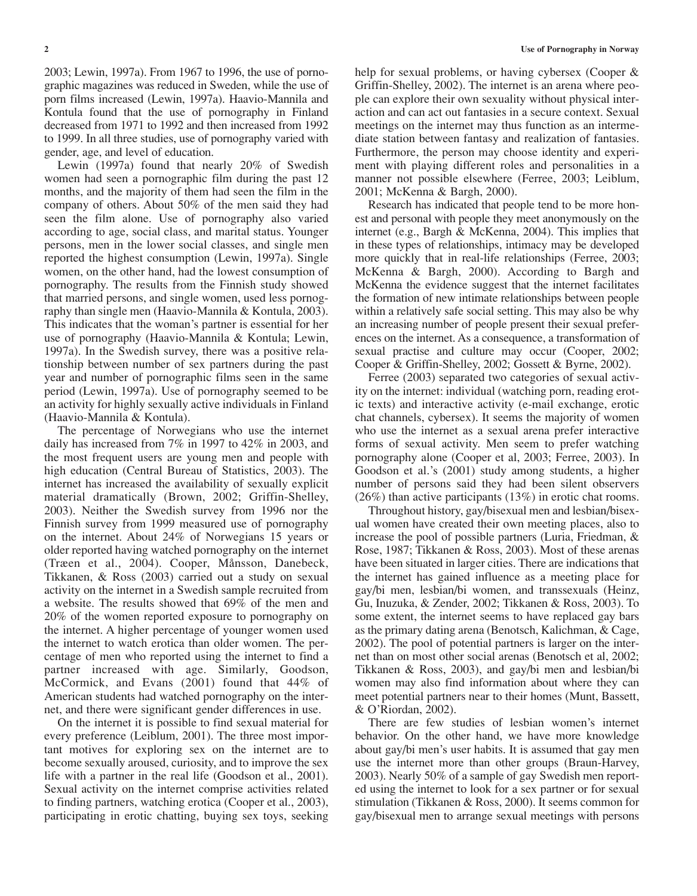2003; Lewin, 1997a). From 1967 to 1996, the use of pornographic magazines was reduced in Sweden, while the use of porn films increased (Lewin, 1997a). Haavio-Mannila and Kontula found that the use of pornography in Finland decreased from 1971 to 1992 and then increased from 1992 to 1999. In all three studies, use of pornography varied with gender, age, and level of education.

Lewin (1997a) found that nearly 20% of Swedish women had seen a pornographic film during the past 12 months, and the majority of them had seen the film in the company of others. About 50% of the men said they had seen the film alone. Use of pornography also varied according to age, social class, and marital status. Younger persons, men in the lower social classes, and single men reported the highest consumption (Lewin, 1997a). Single women, on the other hand, had the lowest consumption of pornography. The results from the Finnish study showed that married persons, and single women, used less pornography than single men (Haavio-Mannila & Kontula, 2003). This indicates that the woman's partner is essential for her use of pornography (Haavio-Mannila & Kontula; Lewin, 1997a). In the Swedish survey, there was a positive relationship between number of sex partners during the past year and number of pornographic films seen in the same period (Lewin, 1997a). Use of pornography seemed to be an activity for highly sexually active individuals in Finland (Haavio-Mannila & Kontula).

The percentage of Norwegians who use the internet daily has increased from 7% in 1997 to 42% in 2003, and the most frequent users are young men and people with high education (Central Bureau of Statistics, 2003). The internet has increased the availability of sexually explicit material dramatically (Brown, 2002; Griffin-Shelley, 2003). Neither the Swedish survey from 1996 nor the Finnish survey from 1999 measured use of pornography on the internet. About 24% of Norwegians 15 years or older reported having watched pornography on the internet (Træen et al., 2004). Cooper, Månsson, Danebeck, Tikkanen, & Ross (2003) carried out a study on sexual activity on the internet in a Swedish sample recruited from a website. The results showed that 69% of the men and 20% of the women reported exposure to pornography on the internet. A higher percentage of younger women used the internet to watch erotica than older women. The percentage of men who reported using the internet to find a partner increased with age. Similarly, Goodson, McCormick, and Evans (2001) found that 44% of American students had watched pornography on the internet, and there were significant gender differences in use.

On the internet it is possible to find sexual material for every preference (Leiblum, 2001). The three most important motives for exploring sex on the internet are to become sexually aroused, curiosity, and to improve the sex life with a partner in the real life (Goodson et al., 2001). Sexual activity on the internet comprise activities related to finding partners, watching erotica (Cooper et al., 2003), participating in erotic chatting, buying sex toys, seeking

help for sexual problems, or having cybersex (Cooper & Griffin-Shelley, 2002). The internet is an arena where people can explore their own sexuality without physical interaction and can act out fantasies in a secure context. Sexual meetings on the internet may thus function as an intermediate station between fantasy and realization of fantasies. Furthermore, the person may choose identity and experiment with playing different roles and personalities in a manner not possible elsewhere (Ferree, 2003; Leiblum, 2001; McKenna & Bargh, 2000).

Research has indicated that people tend to be more honest and personal with people they meet anonymously on the internet (e.g., Bargh & McKenna, 2004). This implies that in these types of relationships, intimacy may be developed more quickly that in real-life relationships (Ferree, 2003; McKenna & Bargh, 2000). According to Bargh and McKenna the evidence suggest that the internet facilitates the formation of new intimate relationships between people within a relatively safe social setting. This may also be why an increasing number of people present their sexual preferences on the internet. As a consequence, a transformation of sexual practise and culture may occur (Cooper, 2002; Cooper & Griffin-Shelley, 2002; Gossett & Byrne, 2002).

Ferree (2003) separated two categories of sexual activity on the internet: individual (watching porn, reading erotic texts) and interactive activity (e-mail exchange, erotic chat channels, cybersex). It seems the majority of women who use the internet as a sexual arena prefer interactive forms of sexual activity. Men seem to prefer watching pornography alone (Cooper et al, 2003; Ferree, 2003). In Goodson et al.'s (2001) study among students, a higher number of persons said they had been silent observers (26%) than active participants (13%) in erotic chat rooms.

Throughout history, gay/bisexual men and lesbian/bisexual women have created their own meeting places, also to increase the pool of possible partners (Luria, Friedman, & Rose, 1987; Tikkanen & Ross, 2003). Most of these arenas have been situated in larger cities. There are indications that the internet has gained influence as a meeting place for gay/bi men, lesbian/bi women, and transsexuals (Heinz, Gu, Inuzuka, & Zender, 2002; Tikkanen & Ross, 2003). To some extent, the internet seems to have replaced gay bars as the primary dating arena (Benotsch, Kalichman, & Cage, 2002). The pool of potential partners is larger on the internet than on most other social arenas (Benotsch et al, 2002; Tikkanen & Ross, 2003), and gay/bi men and lesbian/bi women may also find information about where they can meet potential partners near to their homes (Munt, Bassett, & O'Riordan, 2002).

There are few studies of lesbian women's internet behavior. On the other hand, we have more knowledge about gay/bi men's user habits. It is assumed that gay men use the internet more than other groups (Braun-Harvey, 2003). Nearly 50% of a sample of gay Swedish men reported using the internet to look for a sex partner or for sexual stimulation (Tikkanen & Ross, 2000). It seems common for gay/bisexual men to arrange sexual meetings with persons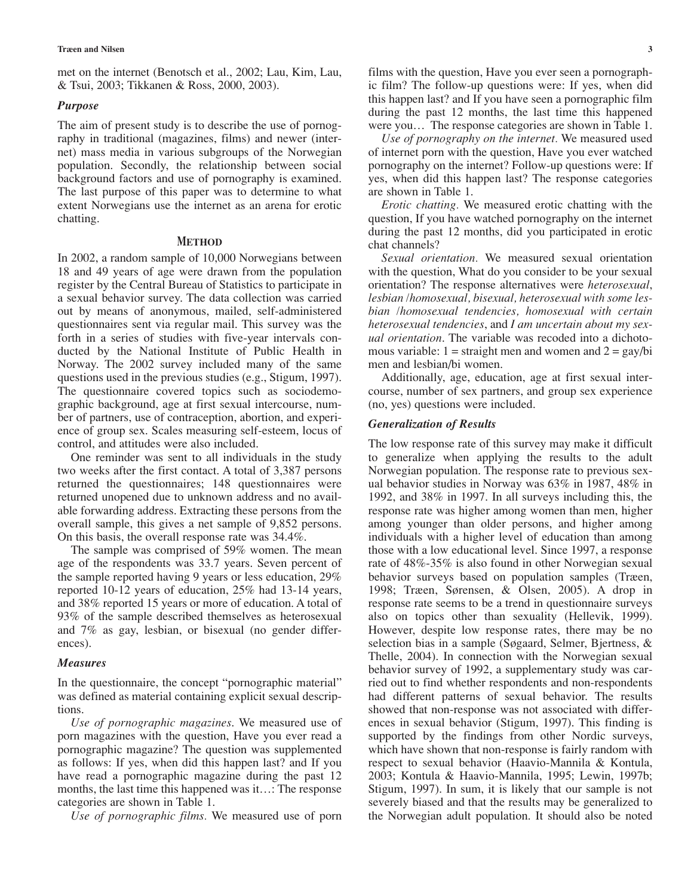met on the internet (Benotsch et al., 2002; Lau, Kim, Lau, & Tsui, 2003; Tikkanen & Ross, 2000, 2003).

## *Purpose*

The aim of present study is to describe the use of pornography in traditional (magazines, films) and newer (internet) mass media in various subgroups of the Norwegian population. Secondly, the relationship between social background factors and use of pornography is examined. The last purpose of this paper was to determine to what extent Norwegians use the internet as an arena for erotic chatting.

## **METHOD**

In 2002, a random sample of 10,000 Norwegians between 18 and 49 years of age were drawn from the population register by the Central Bureau of Statistics to participate in a sexual behavior survey. The data collection was carried out by means of anonymous, mailed, self-administered questionnaires sent via regular mail. This survey was the forth in a series of studies with five-year intervals conducted by the National Institute of Public Health in Norway. The 2002 survey included many of the same questions used in the previous studies (e.g., Stigum, 1997). The questionnaire covered topics such as sociodemographic background, age at first sexual intercourse, number of partners, use of contraception, abortion, and experience of group sex. Scales measuring self-esteem, locus of control, and attitudes were also included.

One reminder was sent to all individuals in the study two weeks after the first contact. A total of 3,387 persons returned the questionnaires; 148 questionnaires were returned unopened due to unknown address and no available forwarding address. Extracting these persons from the overall sample, this gives a net sample of 9,852 persons. On this basis, the overall response rate was 34.4%.

The sample was comprised of 59% women. The mean age of the respondents was 33.7 years. Seven percent of the sample reported having 9 years or less education, 29% reported 10-12 years of education, 25% had 13-14 years, and 38% reported 15 years or more of education. A total of 93% of the sample described themselves as heterosexual and 7% as gay, lesbian, or bisexual (no gender differences).

#### *Measures*

In the questionnaire, the concept "pornographic material" was defined as material containing explicit sexual descriptions.

*Use of pornographic magazines*. We measured use of porn magazines with the question, Have you ever read a pornographic magazine? The question was supplemented as follows: If yes, when did this happen last? and If you have read a pornographic magazine during the past 12 months, the last time this happened was it…: The response categories are shown in Table 1.

*Use of pornographic films.* We measured use of porn

films with the question, Have you ever seen a pornographic film? The follow-up questions were: If yes, when did this happen last? and If you have seen a pornographic film during the past 12 months, the last time this happened were you… The response categories are shown in Table 1.

*Use of pornography on the internet.* We measured used of internet porn with the question, Have you ever watched pornography on the internet? Follow-up questions were: If yes, when did this happen last? The response categories are shown in Table 1.

*Erotic chatting.* We measured erotic chatting with the question, If you have watched pornography on the internet during the past 12 months, did you participated in erotic chat channels?

*Sexual orientation.* We measured sexual orientation with the question, What do you consider to be your sexual orientation? The response alternatives were *heterosexual*, *lesbian /homosexual, bisexual, heterosexual with some lesbian /homosexual tendencies, homosexual with certain heterosexual tendencies*, and *I am uncertain about my sexual orientation*. The variable was recoded into a dichotomous variable:  $1 =$  straight men and women and  $2 =$  gay/bi men and lesbian/bi women.

Additionally, age, education, age at first sexual intercourse, number of sex partners, and group sex experience (no, yes) questions were included.

## *Generalization of Results*

The low response rate of this survey may make it difficult to generalize when applying the results to the adult Norwegian population. The response rate to previous sexual behavior studies in Norway was 63% in 1987, 48% in 1992, and 38% in 1997. In all surveys including this, the response rate was higher among women than men, higher among younger than older persons, and higher among individuals with a higher level of education than among those with a low educational level. Since 1997, a response rate of 48%-35% is also found in other Norwegian sexual behavior surveys based on population samples (Træen, 1998; Træen, Sørensen, & Olsen, 2005). A drop in response rate seems to be a trend in questionnaire surveys also on topics other than sexuality (Hellevik, 1999). However, despite low response rates, there may be no selection bias in a sample (Søgaard, Selmer, Bjertness, & Thelle, 2004). In connection with the Norwegian sexual behavior survey of 1992, a supplementary study was carried out to find whether respondents and non-respondents had different patterns of sexual behavior. The results showed that non-response was not associated with differences in sexual behavior (Stigum, 1997). This finding is supported by the findings from other Nordic surveys, which have shown that non-response is fairly random with respect to sexual behavior (Haavio-Mannila & Kontula, 2003; Kontula & Haavio-Mannila, 1995; Lewin, 1997b; Stigum, 1997). In sum, it is likely that our sample is not severely biased and that the results may be generalized to the Norwegian adult population. It should also be noted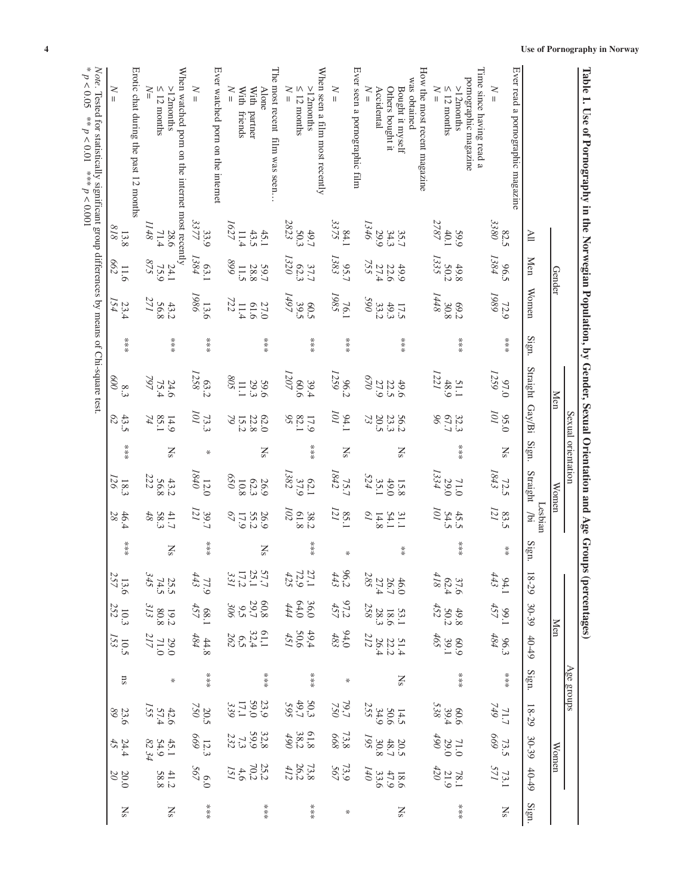| l'able 1. Use of Pornography in the Norwegian Population, by Gender, Sexual Orientation and Age Groups (percentages) |                                             |                                   |                                  |       |                                                   |                                       | Sexual orientation     |                                  |                                    |                                          |                                                    |                                                            |                                                      |                      |                                                           |                                                            |                                                    |                          |
|----------------------------------------------------------------------------------------------------------------------|---------------------------------------------|-----------------------------------|----------------------------------|-------|---------------------------------------------------|---------------------------------------|------------------------|----------------------------------|------------------------------------|------------------------------------------|----------------------------------------------------|------------------------------------------------------------|------------------------------------------------------|----------------------|-----------------------------------------------------------|------------------------------------------------------------|----------------------------------------------------|--------------------------|
|                                                                                                                      |                                             | Gender                            |                                  |       | <b>Men</b>                                        |                                       |                        | Women                            |                                    |                                          |                                                    | Men                                                        |                                                      | Age groups           |                                                           | Women                                                      |                                                    |                          |
|                                                                                                                      | $\overline{\mathbb{H}}$                     | <b>Men</b>                        | Women                            | Sign. | Straight Gay/Bi                                   |                                       | Sign.                  | Straight                         | Lesbian<br>Joi                     | Sign.                                    | 18-29                                              | 30-39                                                      | $40 - 49$                                            | Sign.                | 18-29                                                     | 30-39                                                      | $40 - 49$                                          | $\mathrm{Sign}.$         |
| Ever read a pornographic magazine<br>$\geq$<br>$\mathbf{II}$                                                         | 3380<br>82.5                                | 96.5<br>1384                      | 1989<br>72.9                     |       | 1259<br>07.0                                      | IOI<br>95.0                           | <b>Ns</b>              | 1843<br>72.5                     | 83.5                               | $\frac{*}{*}$                            | $94.1$<br>443                                      | $99.1$<br>457                                              | $96.3$<br>484                                        | $**\underset{3}{*}$  | $\frac{711.7}{749}$                                       | 73.5<br>669                                                | 73.1                                               | $\overline{\text{Ns}}$   |
| Time since having read a<br>pornographic magazine<br>$\geq$<br>$\leq 12$ months<br>$>12$ months                      | 2787<br>40.1<br>59.9                        | 1335<br>50.2<br>49.8              | 1448<br>30.8<br>C <sub>6</sub> 9 |       | 1221<br>48.9<br>51.1                              | $32.3$<br>67.7<br>96                  |                        | 1334<br>29.0<br>71.0             | IOI<br>$45.5$<br>$54.5$            |                                          | $\begin{array}{c} 37.6 \\ 62.4 \\ 418 \end{array}$ | $49.8$<br>$50.2$<br>$452$                                  | $465$<br>60.9                                        | $**\underset{**}{*}$ | $60.6$<br>39.4<br>538                                     | $\begin{array}{c} 71.0 \\ 29.0 \\ 490 \end{array}$         | $\begin{array}{c} 78.1 \\ 21.9 \\ 420 \end{array}$ | $**\underset{**}{*}$     |
| How the most recent magazine<br>was obtained                                                                         |                                             |                                   |                                  |       |                                                   |                                       |                        |                                  |                                    |                                          |                                                    |                                                            |                                                      |                      |                                                           |                                                            |                                                    |                          |
| $\leq$<br>Accidental<br>Others bought it<br>Bought it myself<br>II.                                                  | 1346<br>29.9<br>$35.7$<br>$34.3$            | $\frac{22.6}{255}$<br>755<br>49.9 | 990<br>33.2<br>49.3<br>17.5      | ***   | $0\angle 9$<br>27.9<br>49.6                       | 73<br>20.5<br>23.3<br>56.2            | $\mathbf{S}$           | $35.1$<br>$524$<br>0.044<br>15.8 | $\overline{\rho}$<br>31.1<br>14.8  | $\begin{array}{c} * \ * \ * \end{array}$ | $46.0$<br>$26.74$<br>$27.4$<br>$285$               | $\begin{array}{c} 53.1 \\ 18.6 \\ 28.3 \\ 258 \end{array}$ | $51.4$<br>$22.2$<br>$26.4$<br>$212$                  | $\mathbf{N}$         | $\begin{array}{c}\n 14.5 \\  50.6 \\  24.9\n \end{array}$ | $\begin{array}{c} 20.5 \\ 48.7 \\ 30.8 \\ 195 \end{array}$ | 140<br>$\frac{18.6}{47.9}$                         | $\mathbf{N}$             |
| Ever seen a pornographic film<br>$\geq$<br>$\overline{\mathbf{u}}$                                                   | $\begin{array}{c} 84.1 \\ 3375 \end{array}$ | $95.7$<br>1383                    | 76.1<br>1985                     |       | 1259<br>96.2                                      | IOI<br>94.1                           | $\overline{\text{Ns}}$ | $75.7$<br>1842                   | $85.1$ $\,$                        | ∗                                        | 96,24                                              | $97,2$<br>457                                              | $94,0$<br>483                                        | $\ast$               | $\begin{array}{c} 79.7 \\ 750 \end{array}$                | $73.8\phantom{1}$                                          | $73.9$<br>567                                      | $\boldsymbol{\varkappa}$ |
| When seen a film most recently<br>$\leq 12$ months<br>$N =$<br>$>12$ months                                          | $50.3$<br>$2823$<br>49.7                    | 1320<br>62.3<br>37.7              | $\frac{60.5}{1497}$ 1497         | ****  | 1207<br>9009<br>39.4                              | $82.1$<br>17.9                        | ****                   | $62.1$<br>37.9<br>1382           | 102<br>61.8<br>38.2                | ***                                      | $\frac{27.1}{72.9}$                                | $\begin{array}{c} 36.0 \\ 64.0 \\ 444 \end{array}$         | $\begin{array}{c}\n49.4 \\ 50.6 \\ 451\n\end{array}$ | ***                  | $50.3$<br>$59.7$<br>$595$                                 | $61.8$<br>$38.2$<br>$490$                                  | $\begin{array}{c} 73.8 \\ 26.2 \\ 412 \end{array}$ | ***                      |
| The most recent film was seen<br>$\geq$<br><b>Alone</b><br>With<br>With partner<br>friends                           | 1627<br>43.5<br>45.1<br>11.4                | 668<br>11.5<br>59.7               | 727<br>61.6<br>27.0<br>11.4      | ****  | 508<br>29.3<br>969<br>E                           | 62.0<br>$\varnothing$<br>15.2<br>22.8 | $\overline{S}$         | 650<br>$62.3\,$<br>26.9<br>10.8  | $\delta 7$<br>55.2<br>17.9<br>26.9 | $\mathbf{N}$ s                           |                                                    | $80.308$<br>$300$<br>$300$                                 | $61.376$<br>$32.492$<br>$262$                        | ****                 | $\begin{array}{c} 23,0 \\ 39,0 \\ 339 \end{array}$        | 329<br>29.97<br>232                                        | $\begin{array}{c} 25.3 \\ 70.4 \\ 151 \end{array}$ | ***                      |
| Ever watched porn on the internet<br>$\geq$<br>$\begin{array}{c} \hline \end{array}$                                 | 3377<br>33.9                                | 1384<br>63.1                      | 1986<br>13.6                     | ***   | 1258<br>63.2                                      | 73.3<br>101                           | $\ast$                 | $0\nmid 8\nmid$<br>$12.0$        | $\frac{39.7}{121}$                 | ***                                      | $\begin{array}{c} 77.9 \\ 443 \end{array}$         | 68.1                                                       | $\begin{array}{c} 44.8 \\ 484 \end{array}$           | $**\underset{3}{*}$  | $\frac{20.5}{750}$                                        | $\frac{12.3}{669}$                                         | $\frac{6.0}{567}$                                  | $**\n$                   |
| When watched porn on the internet most recently<br>$\geq$<br>$>12$ months<br>$\leq 12$ months                        | 1148<br>71.4<br>28.6                        | $\frac{24.1}{75.9}$               | 271<br>56.8<br>43.2              | ****  | $\sqrt{297}$<br>$24.6$<br>75.4                    | 85.1<br>74<br>14.9                    | $\overline{\text{N}}$  | 56.8<br>222<br>43.2              | $48\,$<br>58.3<br>41.7             | <b>Ns</b>                                | $\frac{25.5}{74.5}$<br>345                         | $\begin{array}{c} 19.2 \\ 80.8 \\ 313 \end{array}$         | $\begin{array}{c} 29.0 \\ 71.0 \\ 217 \end{array}$   | ∦                    | $42.6$<br>$57.4$<br>$155$                                 | $45.1$<br>$54.9$<br>$82.34$                                | $41.2$<br>58.8                                     | $\mathbf{N}$             |
| Erotic chat during the past 12 months<br>$\geq$                                                                      | 818<br>13.8                                 | <b>662</b><br>11.6                | $\frac{23.4}{154}$               | ****  | $\mathop{\mathbb{S}}\limits_{\widetilde{\omega}}$ | $\mathcal{O}$<br>43.5                 | ****                   | 126<br>18.3                      | 28<br>46.4                         | ****                                     | $13.6$<br>$257$                                    | $\begin{array}{c} 10.3 \\ 252 \end{array}$                 | $\frac{10.5}{I53}$                                   | $_{\rm ns}$          | 23.6<br>89                                                | $\frac{24.4}{45}$                                          | $\frac{20.0}{20}$                                  | $\overline{\text{Ns}}$   |
| Note. Tested for statistically significant group differences by means of Chi-square test.<br>p < 0.001               |                                             |                                   |                                  |       |                                                   |                                       |                        |                                  |                                    |                                          |                                                    |                                                            |                                                      |                      |                                                           |                                                            |                                                    |                          |

Table 1. Use of Pornography in the Norwegian Population, by Gender, Sexual Orientation and Age Groups (percentages)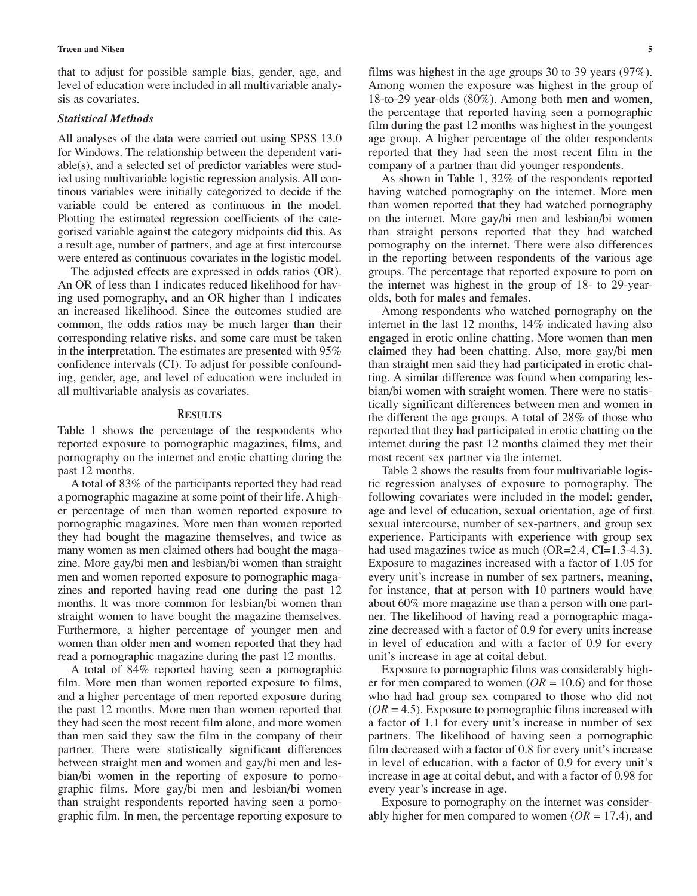that to adjust for possible sample bias, gender, age, and level of education were included in all multivariable analysis as covariates.

## *Statistical Methods*

All analyses of the data were carried out using SPSS 13.0 for Windows. The relationship between the dependent variable(s), and a selected set of predictor variables were studied using multivariable logistic regression analysis. All continous variables were initially categorized to decide if the variable could be entered as continuous in the model. Plotting the estimated regression coefficients of the categorised variable against the category midpoints did this. As a result age, number of partners, and age at first intercourse were entered as continuous covariates in the logistic model.

The adjusted effects are expressed in odds ratios (OR). An OR of less than 1 indicates reduced likelihood for having used pornography, and an OR higher than 1 indicates an increased likelihood. Since the outcomes studied are common, the odds ratios may be much larger than their corresponding relative risks, and some care must be taken in the interpretation. The estimates are presented with 95% confidence intervals (CI). To adjust for possible confounding, gender, age, and level of education were included in all multivariable analysis as covariates.

## **RESULTS**

Table 1 shows the percentage of the respondents who reported exposure to pornographic magazines, films, and pornography on the internet and erotic chatting during the past 12 months.

A total of 83% of the participants reported they had read a pornographic magazine at some point of their life. A higher percentage of men than women reported exposure to pornographic magazines. More men than women reported they had bought the magazine themselves, and twice as many women as men claimed others had bought the magazine. More gay/bi men and lesbian/bi women than straight men and women reported exposure to pornographic magazines and reported having read one during the past 12 months. It was more common for lesbian/bi women than straight women to have bought the magazine themselves. Furthermore, a higher percentage of younger men and women than older men and women reported that they had read a pornographic magazine during the past 12 months.

A total of 84% reported having seen a pornographic film. More men than women reported exposure to films, and a higher percentage of men reported exposure during the past 12 months. More men than women reported that they had seen the most recent film alone, and more women than men said they saw the film in the company of their partner. There were statistically significant differences between straight men and women and gay/bi men and lesbian/bi women in the reporting of exposure to pornographic films. More gay/bi men and lesbian/bi women than straight respondents reported having seen a pornographic film. In men, the percentage reporting exposure to films was highest in the age groups 30 to 39 years (97%). Among women the exposure was highest in the group of 18-to-29 year-olds (80%). Among both men and women, the percentage that reported having seen a pornographic film during the past 12 months was highest in the youngest age group. A higher percentage of the older respondents reported that they had seen the most recent film in the company of a partner than did younger respondents.

As shown in Table 1, 32% of the respondents reported having watched pornography on the internet. More men than women reported that they had watched pornography on the internet. More gay/bi men and lesbian/bi women than straight persons reported that they had watched pornography on the internet. There were also differences in the reporting between respondents of the various age groups. The percentage that reported exposure to porn on the internet was highest in the group of 18- to 29-yearolds, both for males and females.

Among respondents who watched pornography on the internet in the last 12 months, 14% indicated having also engaged in erotic online chatting. More women than men claimed they had been chatting. Also, more gay/bi men than straight men said they had participated in erotic chatting. A similar difference was found when comparing lesbian/bi women with straight women. There were no statistically significant differences between men and women in the different the age groups. A total of 28% of those who reported that they had participated in erotic chatting on the internet during the past 12 months claimed they met their most recent sex partner via the internet.

Table 2 shows the results from four multivariable logistic regression analyses of exposure to pornography. The following covariates were included in the model: gender, age and level of education, sexual orientation, age of first sexual intercourse, number of sex-partners, and group sex experience. Participants with experience with group sex had used magazines twice as much (OR=2.4, CI=1.3-4.3). Exposure to magazines increased with a factor of 1.05 for every unit's increase in number of sex partners, meaning, for instance, that at person with 10 partners would have about 60% more magazine use than a person with one partner. The likelihood of having read a pornographic magazine decreased with a factor of 0.9 for every units increase in level of education and with a factor of 0.9 for every unit's increase in age at coital debut.

Exposure to pornographic films was considerably higher for men compared to women  $(OR = 10.6)$  and for those who had had group sex compared to those who did not (*OR* = 4.5). Exposure to pornographic films increased with a factor of 1.1 for every unit's increase in number of sex partners. The likelihood of having seen a pornographic film decreased with a factor of 0.8 for every unit's increase in level of education, with a factor of 0.9 for every unit's increase in age at coital debut, and with a factor of 0.98 for every year's increase in age.

Exposure to pornography on the internet was considerably higher for men compared to women  $(OR = 17.4)$ , and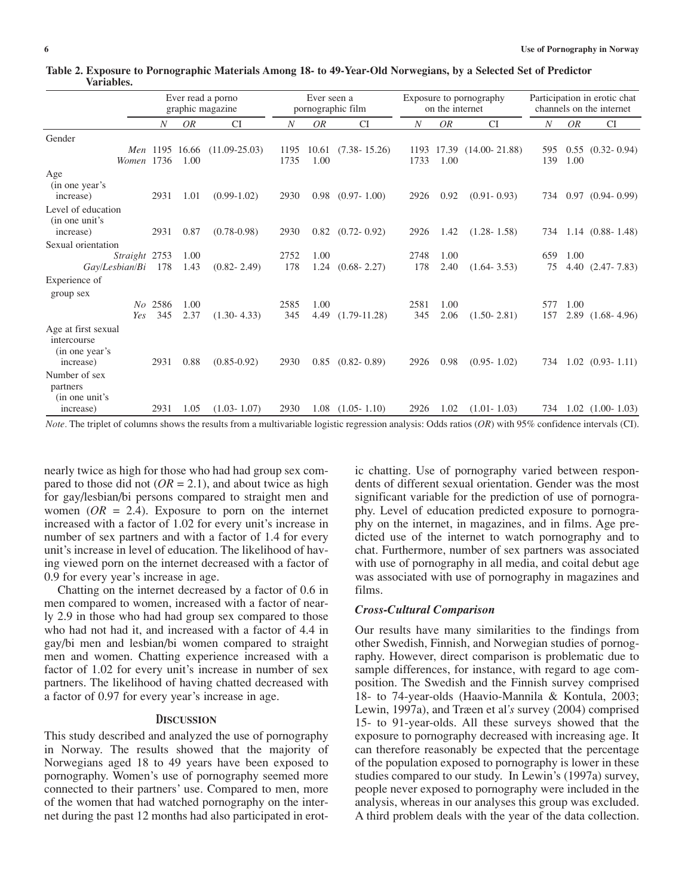|                                                                   |                  |                        | Ever read a porno<br>graphic magazine | Ever seen a<br>pornographic film |               |                        | Exposure to pornography<br>on the internet |                    |                   | Participation in erotic chat<br>channels on the internet |              |                        |
|-------------------------------------------------------------------|------------------|------------------------|---------------------------------------|----------------------------------|---------------|------------------------|--------------------------------------------|--------------------|-------------------|----------------------------------------------------------|--------------|------------------------|
|                                                                   | $\boldsymbol{N}$ | OR                     | <b>CI</b>                             | $\boldsymbol{N}$                 | <b>OR</b>     | <b>CI</b>              | $\boldsymbol{N}$                           | OR                 | <b>CI</b>         | N                                                        | OR           | <b>CI</b>              |
| Gender                                                            |                  |                        |                                       |                                  |               |                        |                                            |                    |                   |                                                          |              |                        |
| Women 1736                                                        |                  | Men 1195 16.66<br>1.00 | $(11.09 - 25.03)$                     | 1195<br>1735                     | 10.61<br>1.00 | $(7.38 - 15.26)$       | 1733                                       | 1193 17.39<br>1.00 | $(14.00 - 21.88)$ | 595<br>139                                               | 1.00         | $0.55$ $(0.32 - 0.94)$ |
| Age<br>(in one year's<br>increase)                                | 2931             | 1.01                   | $(0.99-1.02)$                         | 2930                             | 0.98          | $(0.97 - 1.00)$        | 2926                                       | 0.92               | $(0.91 - 0.93)$   | 734                                                      |              | $0.97$ $(0.94 - 0.99)$ |
| Level of education<br>(in one unit's<br>increase)                 | 2931             | 0.87                   | $(0.78 - 0.98)$                       | 2930                             |               | $0.82$ $(0.72 - 0.92)$ | 2926                                       | 1.42               | $(1.28 - 1.58)$   | 734                                                      |              | $1.14$ $(0.88 - 1.48)$ |
| Sexual orientation                                                |                  |                        |                                       |                                  |               |                        |                                            |                    |                   |                                                          |              |                        |
| Straight 2753<br>Gay/Lesbian/Bi                                   | 178              | 1.00<br>1.43           | $(0.82 - 2.49)$                       | 2752<br>178                      | 1.00<br>1.24  | $(0.68 - 2.27)$        | 2748<br>178                                | 1.00<br>2.40       | $(1.64 - 3.53)$   | 659<br>75                                                | 1.00         | $4.40$ $(2.47 - 7.83)$ |
| Experience of                                                     |                  |                        |                                       |                                  |               |                        |                                            |                    |                   |                                                          |              |                        |
| group sex<br>Yes                                                  | No 2586<br>345   | 1.00<br>2.37           | $(1.30 - 4.33)$                       | 2585<br>345                      | 1.00<br>4.49  | $(1.79-11.28)$         | 2581<br>345                                | 1.00<br>2.06       | $(1.50 - 2.81)$   | 577<br>157                                               | 1.00<br>2.89 | $(1.68 - 4.96)$        |
| Age at first sexual<br>intercourse<br>(in one year's<br>increase) | 2931             | 0.88                   | $(0.85 - 0.92)$                       | 2930                             | 0.85          | $(0.82 - 0.89)$        | 2926                                       | 0.98               | $(0.95 - 1.02)$   | 734                                                      |              | $1.02$ $(0.93 - 1.11)$ |
| Number of sex<br>partners<br>(in one unit's                       |                  |                        |                                       |                                  |               |                        |                                            |                    |                   |                                                          |              |                        |
| increase)                                                         | 2931             | 1.05                   | $(1.03 - 1.07)$                       | 2930                             | 1.08          | $(1.05 - 1.10)$        | 2926                                       | 1.02               | $(1.01 - 1.03)$   |                                                          |              | 734 1.02 (1.00-1.03)   |

**Table 2. Exposure to Pornographic Materials Among 18- to 49-Year-Old Norwegians, by a Selected Set of Predictor Variables.** 

*Note.* The triplet of columns shows the results from a multivariable logistic regression analysis: Odds ratios (*OR*) with 95% confidence intervals (CI).

nearly twice as high for those who had had group sex compared to those did not  $(OR = 2.1)$ , and about twice as high for gay/lesbian/bi persons compared to straight men and women  $(OR = 2.4)$ . Exposure to porn on the internet increased with a factor of 1.02 for every unit's increase in number of sex partners and with a factor of 1.4 for every unit's increase in level of education. The likelihood of having viewed porn on the internet decreased with a factor of 0.9 for every year's increase in age.

Chatting on the internet decreased by a factor of 0.6 in men compared to women, increased with a factor of nearly 2.9 in those who had had group sex compared to those who had not had it, and increased with a factor of 4.4 in gay/bi men and lesbian/bi women compared to straight men and women. Chatting experience increased with a factor of 1.02 for every unit's increase in number of sex partners. The likelihood of having chatted decreased with a factor of 0.97 for every year's increase in age.

## **DISCUSSION**

This study described and analyzed the use of pornography in Norway. The results showed that the majority of Norwegians aged 18 to 49 years have been exposed to pornography. Women's use of pornography seemed more connected to their partners' use. Compared to men, more of the women that had watched pornography on the internet during the past 12 months had also participated in erotic chatting. Use of pornography varied between respondents of different sexual orientation. Gender was the most significant variable for the prediction of use of pornography. Level of education predicted exposure to pornography on the internet, in magazines, and in films. Age predicted use of the internet to watch pornography and to chat. Furthermore, number of sex partners was associated with use of pornography in all media, and coital debut age was associated with use of pornography in magazines and films.

#### *Cross-Cultural Comparison*

Our results have many similarities to the findings from other Swedish, Finnish, and Norwegian studies of pornography. However, direct comparison is problematic due to sample differences, for instance, with regard to age composition. The Swedish and the Finnish survey comprised 18- to 74-year-olds (Haavio-Mannila & Kontula, 2003; Lewin, 1997a), and Træen et al*'s* survey (2004) comprised 15- to 91-year-olds. All these surveys showed that the exposure to pornography decreased with increasing age. It can therefore reasonably be expected that the percentage of the population exposed to pornography is lower in these studies compared to our study. In Lewin's (1997a) survey, people never exposed to pornography were included in the analysis, whereas in our analyses this group was excluded. A third problem deals with the year of the data collection.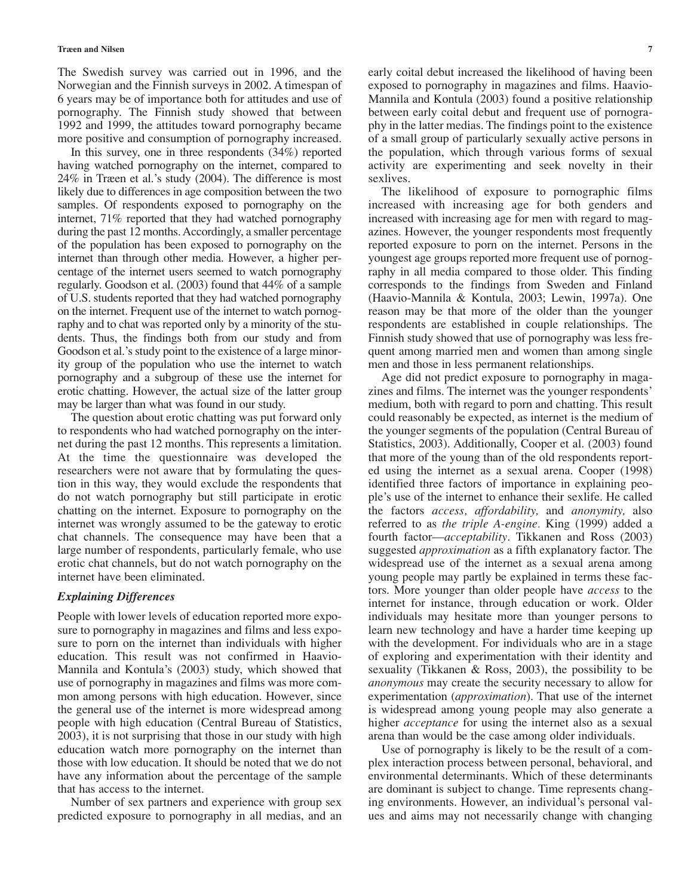The Swedish survey was carried out in 1996, and the Norwegian and the Finnish surveys in 2002. A timespan of 6 years may be of importance both for attitudes and use of pornography. The Finnish study showed that between 1992 and 1999, the attitudes toward pornography became more positive and consumption of pornography increased.

In this survey, one in three respondents (34%) reported having watched pornography on the internet, compared to 24% in Træen et al.'s study (2004). The difference is most likely due to differences in age composition between the two samples. Of respondents exposed to pornography on the internet, 71% reported that they had watched pornography during the past 12 months. Accordingly, a smaller percentage of the population has been exposed to pornography on the internet than through other media. However, a higher percentage of the internet users seemed to watch pornography regularly. Goodson et al. (2003) found that 44% of a sample of U.S. students reported that they had watched pornography on the internet. Frequent use of the internet to watch pornography and to chat was reported only by a minority of the students. Thus, the findings both from our study and from Goodson et al.'s study point to the existence of a large minority group of the population who use the internet to watch pornography and a subgroup of these use the internet for erotic chatting. However, the actual size of the latter group may be larger than what was found in our study.

The question about erotic chatting was put forward only to respondents who had watched pornography on the internet during the past 12 months. This represents a limitation. At the time the questionnaire was developed the researchers were not aware that by formulating the question in this way, they would exclude the respondents that do not watch pornography but still participate in erotic chatting on the internet. Exposure to pornography on the internet was wrongly assumed to be the gateway to erotic chat channels. The consequence may have been that a large number of respondents, particularly female, who use erotic chat channels, but do not watch pornography on the internet have been eliminated.

## *Explaining Differences*

People with lower levels of education reported more exposure to pornography in magazines and films and less exposure to porn on the internet than individuals with higher education. This result was not confirmed in Haavio-Mannila and Kontula's (2003) study, which showed that use of pornography in magazines and films was more common among persons with high education. However, since the general use of the internet is more widespread among people with high education (Central Bureau of Statistics, 2003), it is not surprising that those in our study with high education watch more pornography on the internet than those with low education. It should be noted that we do not have any information about the percentage of the sample that has access to the internet.

Number of sex partners and experience with group sex predicted exposure to pornography in all medias, and an

early coital debut increased the likelihood of having been exposed to pornography in magazines and films. Haavio-Mannila and Kontula (2003) found a positive relationship between early coital debut and frequent use of pornography in the latter medias. The findings point to the existence of a small group of particularly sexually active persons in the population, which through various forms of sexual activity are experimenting and seek novelty in their sexlives.

The likelihood of exposure to pornographic films increased with increasing age for both genders and increased with increasing age for men with regard to magazines. However, the younger respondents most frequently reported exposure to porn on the internet. Persons in the youngest age groups reported more frequent use of pornography in all media compared to those older. This finding corresponds to the findings from Sweden and Finland (Haavio-Mannila & Kontula, 2003; Lewin, 1997a). One reason may be that more of the older than the younger respondents are established in couple relationships. The Finnish study showed that use of pornography was less frequent among married men and women than among single men and those in less permanent relationships.

Age did not predict exposure to pornography in magazines and films. The internet was the younger respondents' medium, both with regard to porn and chatting. This result could reasonably be expected, as internet is the medium of the younger segments of the population (Central Bureau of Statistics, 2003). Additionally, Cooper et al. (2003) found that more of the young than of the old respondents reported using the internet as a sexual arena. Cooper (1998) identified three factors of importance in explaining people's use of the internet to enhance their sexlife. He called the factors *access, affordability,* and *anonymity,* also referred to as *the triple A-engine.* King (1999) added a fourth factor—*acceptability*. Tikkanen and Ross (2003) suggested *approximation* as a fifth explanatory factor. The widespread use of the internet as a sexual arena among young people may partly be explained in terms these factors. More younger than older people have *access* to the internet for instance, through education or work. Older individuals may hesitate more than younger persons to learn new technology and have a harder time keeping up with the development. For individuals who are in a stage of exploring and experimentation with their identity and sexuality (Tikkanen & Ross, 2003), the possibility to be *anonymous* may create the security necessary to allow for experimentation (*approximation*). That use of the internet is widespread among young people may also generate a higher *acceptance* for using the internet also as a sexual arena than would be the case among older individuals.

Use of pornography is likely to be the result of a complex interaction process between personal, behavioral, and environmental determinants. Which of these determinants are dominant is subject to change. Time represents changing environments. However, an individual's personal values and aims may not necessarily change with changing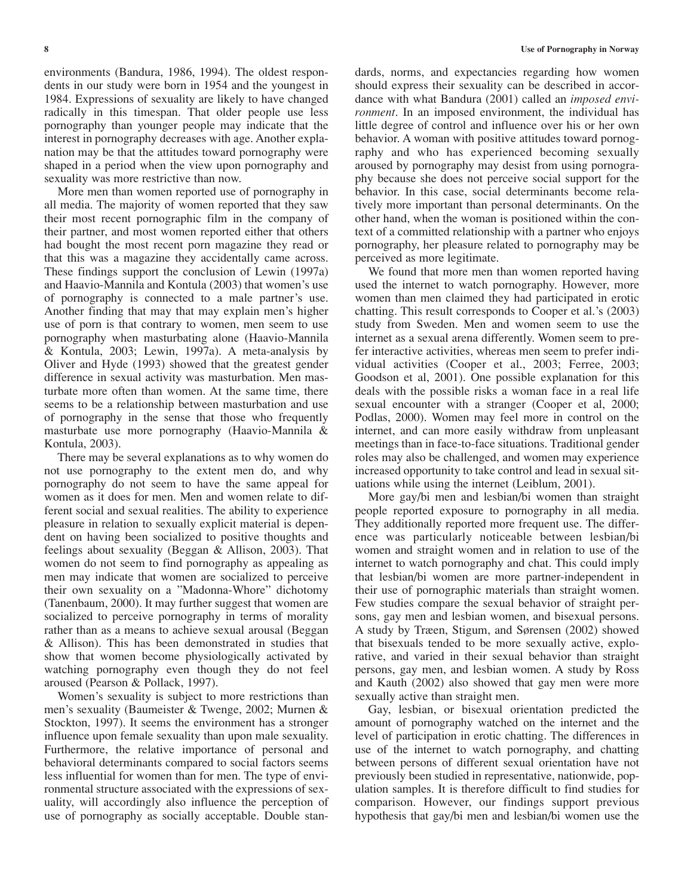environments (Bandura, 1986, 1994). The oldest respondents in our study were born in 1954 and the youngest in 1984. Expressions of sexuality are likely to have changed radically in this timespan. That older people use less pornography than younger people may indicate that the interest in pornography decreases with age. Another explanation may be that the attitudes toward pornography were shaped in a period when the view upon pornography and sexuality was more restrictive than now.

More men than women reported use of pornography in all media. The majority of women reported that they saw their most recent pornographic film in the company of their partner, and most women reported either that others had bought the most recent porn magazine they read or that this was a magazine they accidentally came across. These findings support the conclusion of Lewin (1997a) and Haavio-Mannila and Kontula (2003) that women's use of pornography is connected to a male partner's use. Another finding that may that may explain men's higher use of porn is that contrary to women, men seem to use pornography when masturbating alone (Haavio-Mannila & Kontula, 2003; Lewin, 1997a). A meta-analysis by Oliver and Hyde (1993) showed that the greatest gender difference in sexual activity was masturbation. Men masturbate more often than women. At the same time, there seems to be a relationship between masturbation and use of pornography in the sense that those who frequently masturbate use more pornography (Haavio-Mannila & Kontula, 2003).

There may be several explanations as to why women do not use pornography to the extent men do, and why pornography do not seem to have the same appeal for women as it does for men. Men and women relate to different social and sexual realities. The ability to experience pleasure in relation to sexually explicit material is dependent on having been socialized to positive thoughts and feelings about sexuality (Beggan & Allison, 2003). That women do not seem to find pornography as appealing as men may indicate that women are socialized to perceive their own sexuality on a "Madonna-Whore" dichotomy (Tanenbaum, 2000). It may further suggest that women are socialized to perceive pornography in terms of morality rather than as a means to achieve sexual arousal (Beggan & Allison). This has been demonstrated in studies that show that women become physiologically activated by watching pornography even though they do not feel aroused (Pearson & Pollack, 1997).

Women's sexuality is subject to more restrictions than men's sexuality (Baumeister & Twenge, 2002; Murnen & Stockton, 1997). It seems the environment has a stronger influence upon female sexuality than upon male sexuality. Furthermore, the relative importance of personal and behavioral determinants compared to social factors seems less influential for women than for men. The type of environmental structure associated with the expressions of sexuality, will accordingly also influence the perception of use of pornography as socially acceptable. Double stan-

dards, norms, and expectancies regarding how women should express their sexuality can be described in accordance with what Bandura (2001) called an *imposed environment*. In an imposed environment, the individual has little degree of control and influence over his or her own behavior. A woman with positive attitudes toward pornography and who has experienced becoming sexually aroused by pornography may desist from using pornography because she does not perceive social support for the behavior. In this case, social determinants become relatively more important than personal determinants. On the other hand, when the woman is positioned within the context of a committed relationship with a partner who enjoys pornography, her pleasure related to pornography may be perceived as more legitimate.

We found that more men than women reported having used the internet to watch pornography. However, more women than men claimed they had participated in erotic chatting. This result corresponds to Cooper et al.'s (2003) study from Sweden. Men and women seem to use the internet as a sexual arena differently. Women seem to prefer interactive activities, whereas men seem to prefer individual activities (Cooper et al., 2003; Ferree, 2003; Goodson et al, 2001). One possible explanation for this deals with the possible risks a woman face in a real life sexual encounter with a stranger (Cooper et al, 2000; Podlas, 2000). Women may feel more in control on the internet, and can more easily withdraw from unpleasant meetings than in face-to-face situations. Traditional gender roles may also be challenged, and women may experience increased opportunity to take control and lead in sexual situations while using the internet (Leiblum, 2001).

More gay/bi men and lesbian/bi women than straight people reported exposure to pornography in all media. They additionally reported more frequent use. The difference was particularly noticeable between lesbian/bi women and straight women and in relation to use of the internet to watch pornography and chat. This could imply that lesbian/bi women are more partner-independent in their use of pornographic materials than straight women. Few studies compare the sexual behavior of straight persons, gay men and lesbian women, and bisexual persons. A study by Træen, Stigum, and Sørensen (2002) showed that bisexuals tended to be more sexually active, explorative, and varied in their sexual behavior than straight persons, gay men, and lesbian women. A study by Ross and Kauth (2002) also showed that gay men were more sexually active than straight men.

Gay, lesbian, or bisexual orientation predicted the amount of pornography watched on the internet and the level of participation in erotic chatting. The differences in use of the internet to watch pornography, and chatting between persons of different sexual orientation have not previously been studied in representative, nationwide, population samples. It is therefore difficult to find studies for comparison. However, our findings support previous hypothesis that gay/bi men and lesbian/bi women use the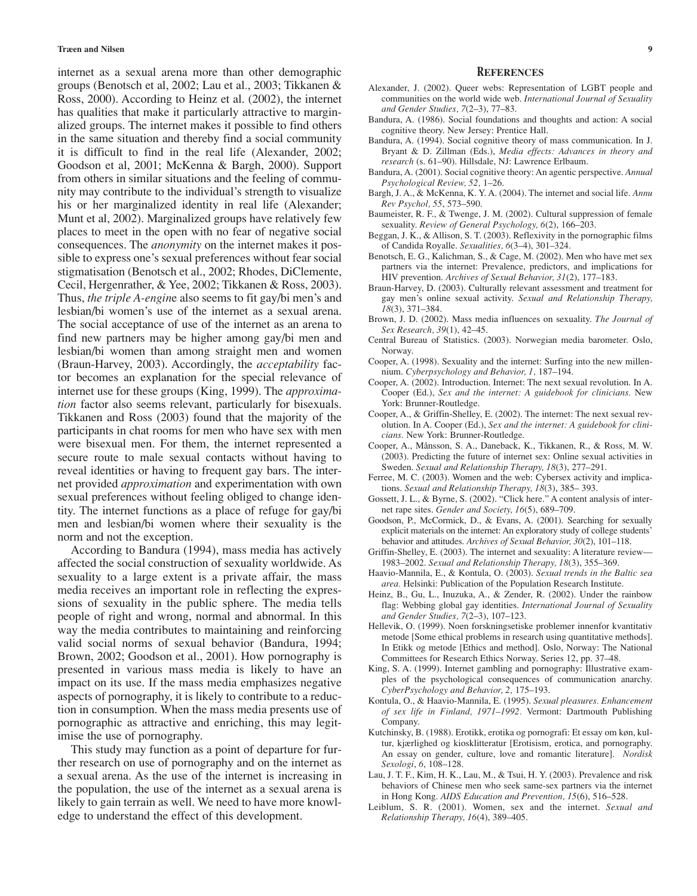internet as a sexual arena more than other demographic groups (Benotsch et al, 2002; Lau et al*.*, 2003; Tikkanen & Ross, 2000). According to Heinz et al. (2002), the internet has qualities that make it particularly attractive to marginalized groups. The internet makes it possible to find others in the same situation and thereby find a social community it is difficult to find in the real life (Alexander, 2002; Goodson et al, 2001; McKenna & Bargh, 2000). Support from others in similar situations and the feeling of community may contribute to the individual's strength to visualize his or her marginalized identity in real life (Alexander; Munt et al, 2002). Marginalized groups have relatively few places to meet in the open with no fear of negative social consequences. The *anonymity* on the internet makes it possible to express one's sexual preferences without fear social stigmatisation (Benotsch et al., 2002; Rhodes, DiClemente, Cecil, Hergenrather, & Yee, 2002; Tikkanen & Ross, 2003). Thus, *the triple A-engin*e also seems to fit gay/bi men's and lesbian/bi women's use of the internet as a sexual arena. The social acceptance of use of the internet as an arena to find new partners may be higher among gay/bi men and lesbian/bi women than among straight men and women (Braun-Harvey, 2003). Accordingly, the *acceptability* factor becomes an explanation for the special relevance of internet use for these groups (King, 1999). The *approximation* factor also seems relevant, particularly for bisexuals. Tikkanen and Ross (2003) found that the majority of the participants in chat rooms for men who have sex with men were bisexual men. For them, the internet represented a secure route to male sexual contacts without having to reveal identities or having to frequent gay bars. The internet provided *approximation* and experimentation with own sexual preferences without feeling obliged to change identity. The internet functions as a place of refuge for gay/bi men and lesbian/bi women where their sexuality is the norm and not the exception.

According to Bandura (1994), mass media has actively affected the social construction of sexuality worldwide. As sexuality to a large extent is a private affair, the mass media receives an important role in reflecting the expressions of sexuality in the public sphere. The media tells people of right and wrong, normal and abnormal. In this way the media contributes to maintaining and reinforcing valid social norms of sexual behavior (Bandura, 1994; Brown, 2002; Goodson et al., 2001). How pornography is presented in various mass media is likely to have an impact on its use. If the mass media emphasizes negative aspects of pornography, it is likely to contribute to a reduction in consumption. When the mass media presents use of pornographic as attractive and enriching, this may legitimise the use of pornography.

This study may function as a point of departure for further research on use of pornography and on the internet as a sexual arena. As the use of the internet is increasing in the population, the use of the internet as a sexual arena is likely to gain terrain as well. We need to have more knowledge to understand the effect of this development.

#### **REFERENCES**

- Alexander, J. (2002). Queer webs: Representation of LGBT people and communities on the world wide web. *International Journal of Sexuality and Gender Studies, 7*(2–3), 77–83.
- Bandura, A. (1986). Social foundations and thoughts and action: A social cognitive theory. New Jersey: Prentice Hall.
- Bandura, A. (1994). Social cognitive theory of mass communication. In J. Bryant & D. Zillman (Eds.), *Media effects: Advances in theory and research* (s. 61–90). Hillsdale, NJ: Lawrence Erlbaum.
- Bandura, A. (2001). Social cognitive theory: An agentic perspective. *Annual Psychological Review, 52,* 1–26.
- Bargh, J. A., & McKenna, K. Y. A. (2004). The internet and social life. *Annu Rev Psychol, 55*, 573–590.
- Baumeister, R. F., & Twenge, J. M. (2002). Cultural suppression of female sexuality. *Review of General Psychology, 6*(2), 166–203.
- Beggan, J. K., & Allison, S. T. (2003). Reflexivity in the pornographic films of Candida Royalle. *Sexualities, 6*(3–4), 301–324.
- Benotsch, E. G., Kalichman, S., & Cage, M. (2002). Men who have met sex partners via the internet: Prevalence, predictors, and implications for HIV prevention. *Archives of Sexual Behavior, 31*(2), 177–183.
- Braun-Harvey, D. (2003). Culturally relevant assessment and treatment for gay men's online sexual activity. *Sexual and Relationship Therapy, 18*(3), 371–384.
- Brown, J. D. (2002). Mass media influences on sexuality. *The Journal of Sex Research, 39*(1), 42–45.
- Central Bureau of Statistics. (2003). Norwegian media barometer. Oslo, Norway.
- Cooper, A. (1998). Sexuality and the internet: Surfing into the new millennium. *Cyberpsychology and Behavior, 1,* 187–194.
- Cooper, A. (2002). Introduction. Internet: The next sexual revolution. In A. Cooper (Ed.), *Sex and the internet: A guidebook for clinicians.* New York: Brunner-Routledge.
- Cooper, A., & Griffin-Shelley, E. (2002). The internet: The next sexual revolution. In A. Cooper (Ed.), *Sex and the internet: A guidebook for clinicians.* New York: Brunner-Routledge.
- Cooper, A., Månsson, S. A., Daneback, K., Tikkanen, R., & Ross, M. W. (2003). Predicting the future of internet sex: Online sexual activities in Sweden. *Sexual and Relationship Therapy, 18*(3), 277–291.
- Ferree, M. C. (2003). Women and the web: Cybersex activity and implications. *Sexual and Relationship Therapy, 18*(3), 385– 393.
- Gossett, J. L., & Byrne, S. (2002). "Click here." A content analysis of internet rape sites. *Gender and Society, 16*(5), 689–709.
- Goodson, P., McCormick, D., & Evans, A. (2001). Searching for sexually explicit materials on the internet: An exploratory study of college students' behavior and attitudes. *Archives of Sexual Behavior, 30*(2), 101–118.
- Griffin-Shelley, E. (2003). The internet and sexuality: A literature review— 1983–2002. *Sexual and Relationship Therapy, 18*(3), 355–369.
- Haavio-Mannila, E., & Kontula, O. (2003). *Sexual trends in the Baltic sea area.* Helsinki: Publication of the Population Research Institute.
- Heinz, B., Gu, L., Inuzuka, A., & Zender, R. (2002). Under the rainbow flag: Webbing global gay identities. *International Journal of Sexuality and Gender Studies, 7*(2–3), 107–123.
- Hellevik, O. (1999). Noen forskningsetiske problemer innenfor kvantitativ metode [Some ethical problems in research using quantitative methods]. In Etikk og metode [Ethics and method]. Oslo, Norway: The National Committees for Research Ethics Norway. Series 12, pp. 37–48.
- King, S. A. (1999). Internet gambling and pornography: Illustrative examples of the psychological consequences of communication anarchy. *CyberPsychology and Behavior, 2,* 175–193.
- Kontula, O., & Haavio-Mannila, E. (1995). *Sexual pleasures. Enhancement of sex life in Finland, 1971–1992.* Vermont: Dartmouth Publishing Company.
- Kutchinsky, B. (1988). Erotikk, erotika og pornografi: Et essay om køn, kultur, kjærlighed og kiosklitteratur [Erotisism, erotica, and pornography. An essay on gender, culture, love and romantic literature]. *Nordisk Sexologi*, *6*, 108–128.
- Lau, J. T. F., Kim, H. K., Lau, M., & Tsui, H. Y. (2003). Prevalence and risk behaviors of Chinese men who seek same-sex partners via the internet in Hong Kong. *AIDS Education and Prevention, 15*(6), 516–528.
- Leiblum, S. R. (2001). Women, sex and the internet. *Sexual and Relationship Therapy, 16*(4), 389–405.